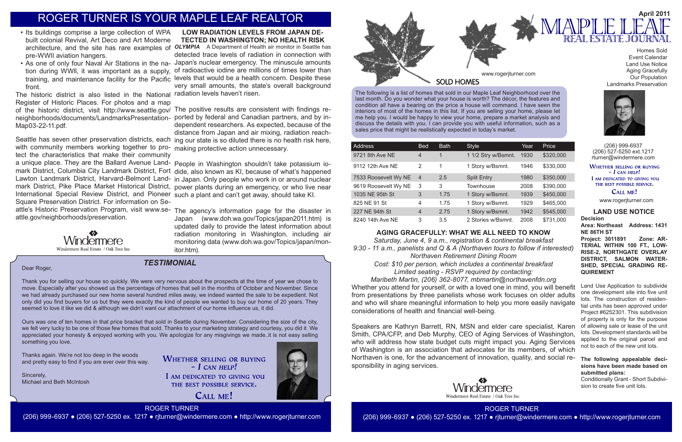The following is a list of homes that sold in our Maple Leaf Neighborhood over the last month. Do you wonder what your house is worth? The décor, the features and condition all have a bearing on the price a house will command. I have seen the interiors of most of the homes in this list. If you are selling your home, please let me help you. I would be happy to view your home, prepare a market analysis and discuss the details with you. I can provide you with useful information, such as a sales price that might be realistically expected in today's market.



| Address              | <b>Bed</b>     | <b>Bath</b> | <b>Style</b>        | Year | Price     |
|----------------------|----------------|-------------|---------------------|------|-----------|
| 9721 8th Ave NE      | 4              | 1           | 1 1/2 Stry w/Bsmnt. | 1930 | \$320,000 |
| 9112 12th Ave NE     | 2              | 1           | 1 Story w/Bsmnt.    | 1946 | \$330,000 |
| 7533 Roosevelt Wy NE | $\overline{4}$ | 2.5         | <b>Split Entry</b>  | 1980 | \$350,000 |
| 9619 Roosevelt Wy NE | 3              | 3           | <b>Townhouse</b>    | 2008 | \$390,000 |
| 1035 NE 95th St      | 3              | 1.75        | 1 Story w/Bsmnt.    | 1939 | \$450,000 |
| 825 NE 91 St         | 4              | 1.75        | 1 Story w/Bsmnt.    | 1929 | \$465,000 |
| 227 NE 94th St       | 4              | 2.75        | 1 Story w/Bsmnt.    | 1942 | \$545,000 |
| 8240 14th Ave NE     | 3              | 3.5         | 2 Stories w/Bsmnt.  | 2008 | \$731,000 |

(206) 999-6937 (206) 527-5250 ext.1217 rturner@windermere.com

**WHETHER SELLING OR BUYING**  $-I$  CAN HELP!

I AM DEDICATED TO GIVING YOU THE BEST POSSIBLE SERVICE.

### CALL ME!

## *TESTIMONIAL*

www.rogerjturner.com

www.rogerjturner.com

ROGER TURNER (206) 999-6937 ● (206) 527-5250 ex. 1217 ● rjturner@windermere.com ● http://www.rogerjturner.com

Homes Sold Event Calendar Land Use Notice Aging Gracefully Our Population Landmarks Preservation



Dear Roger,

**WHETHER SELLING OR BUYING**  $-$  *L* CAN HELP! I AM DEDICATED TO GIVING YOU THE BEST POSSIBLE SERVICE.

CALL ME!





Thank you for selling our house so quickly. We were very nervous about the prospects at the time of year we chose to move. Especially after you showed us the percentage of homes that sell in the months of October and November. Since we had already purchased our new home several hundred miles away, we indeed wanted the sale to be expedient. Not only did you find buyers for us but they were exactly the kind of people we wanted to buy our home of 20 years. They seemed to love it like we did & although we didn't want our attachment of our home influence us, it did.

Ours was one of ten homes in that price bracket that sold in Seattle during November. Considering the size of the city, we felt very lucky to be one of those few homes that sold. Thanks to your marketing strategy and courtesy, you did it. We appreciated your honesty & enjoyed working with you. We apologize for any misgivings we made..it is not easy selling something you love.

Thanks again. We're not too deep in the woods and pretty easy to find if you are ever over this way.

Sincerely, Michael and Beth McIntosh

# ROGER TURNER IS YOUR MAPLE LEAF REALTOR

#### **LAND USE NOTICE Decision**

**Area: Northeast Address: 1431 NE 86TH ST**

**Project: 3011891 Zone: AR-TERIAL WITHIN 100 FT., LOW-RISE-2, NORTHGATE OVERLAY DISTRICT, SALMON WATER-SHED, SPECIAL GRADING RE-QUIREMENT** 

Land Use Application to subdivide one development site into five unit lots. The construction of residential units has been approved under Project #6252301. This subdivision of property is only for the purpose of allowing sale or lease of the unit lots. Development standards will be applied to the original parcel and not to each of the new unit lots.

#### **The following appealable decisions have been made based on submitted plans:**

Conditionally Grant - Short Subdivision to create five unit lots.

## **AGING GRACEFULLY: WHAT WE ALL NEED TO KNOW**

*Saturday, June 4, 9 a.m., registration & continental breakfast 9:30 - 11 a.m., panelists and Q & A (Northaven tours to follow if interested) Northaven Retirement Dining Room Cost: \$10 per person, which includes a continental breakfast Limited seating - RSVP required by contacting:*

*Maribeth Martin, (206) 362-8077, mbmartin@northavenfdn.org* Whether you attend for yourself, or with a loved one in mind, you will benefit from presentations by three panelists whose work focuses on older adults and who will share meaningful information to help you more easily navigate considerations of health and financial well-being.

Speakers are Kathryn Barrett, RN, MSN and elder care specialist, Karen Smith, CPA/CFP, and Deb Murphy, CEO of Aging Services of Washington, who will address how state budget cuts might impact you. Aging Services of Washington is an association that advocates for its members, of which Northaven is one, for the advancement of innovation, quality, and social responsibility in aging services.



- Its buildings comprise a large collection of WPA built colonial Revival, Art Deco and Art Moderne pre-WWII aviation hangers.
- front.

The historic district is also listed in the National radiation levels haven't risen. Register of Historic Places. For photos and a map Map03-22-11.pdf.

## architecture, and the site has rare examples of *OLYMPIA* A Department of Health air monitor in Seattle has • As one of only four Naval Air Stations in the na- Japan's nuclear emergency. The minuscule amounts tion during WWll, it was important as a supply, of radioactive iodine are millions of times lower than training, and maintenance facility for the Pacific levels that would be a health concern. Despite these **LOW RADIATION LEVELS FROM JAPAN DE-TECTED IN WASHINGTON; NO HEALTH RISK** detected trace levels of radiation in connection with very small amounts, the state's overall background

with community members working together to pro-making protective action unnecessary. tect the characteristics that make their community International Special Review District, and Pioneer such a plant and can't get away, should take KI. Square Preservation District. For information on Seattle.gov/neighborhoods/preservation.



of the historic district, visit http://www.seattle.gov/ The positive results are consistent with findings reneighborhoods/documents/LandmarksPresentation-ported by federal and Canadian partners, and by in-Seattle has seven other preservation districts, each ing our state is so diluted there is no health risk here, dependent researchers. As expected, because of the distance from Japan and air mixing, radiation reach-

a unique place. They are the Ballard Avenue Land-People in Washington shouldn't take potassium iomark District, Columbia City Landmark District, Fort dide, also known as KI, because of what's happened Lawton Landmark District, Harvard-Belmont Land-in Japan. Only people who work in or around nuclear mark District, Pike Place Market Historical District, power plants during an emergency, or who live near

attle's Historic Preservation Program, visit www.se-The agency's information page for the disaster in Japan (www.doh.wa.gov/Topics/japan2011.htm) is updated daily to provide the latest information about radiation monitoring in Washington, including air monitoring data (www.doh.wa.gov/Topics/japan/monitor.htm).